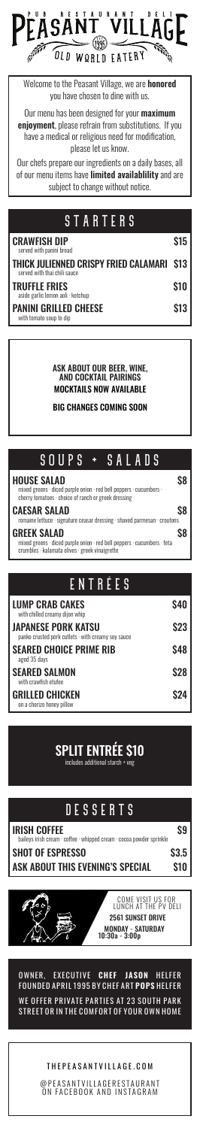#### OWNER, EXECUTIVE CHEF JASON HELFER FOUNDED APRIL 1995 BY CHEF ART POPS HELFER

WE OFFER PRIVATE PARTIES AT 23 SOUTH PARK STREET OR IN THE COMFORT OF YOUR OWN HOME

#### THEPEASANTVILLAGE.COM

@ P E A S A N T V I L L A G E R E S T A U R A N T ON FACEBOOK AND INSTAGRAM

Our menu has been designed for your **maximum enjoyment**, please refrain from substitutions. If you have a medical or religious need for modification, please let us know.



Welcome to the Peasant Village, we are honored you have chosen to dine with us.

Our chefs prepare our ingredients on a daily bases, all of our menu items have **limited availablility** and are subject to change without notice.

### **STARTERS**

ASK ABOUT OUR BEER, WINE, AND COCKTAIL PAIRINGS MOCKTAILS NOW AVAILABLE

BIG CHANGES COMING SOON

| <b>CRAWFISH DIP</b><br>served with panini bread                                  | <b>S15</b>  |
|----------------------------------------------------------------------------------|-------------|
| <b>THICK JULIENNED CRISPY FRIED CALAMARI S13</b><br>served with thai chili sauce |             |
| <b>TRUFFLE FRIES</b><br>aside garlic lemon aoli · ketchup                        | <b>\$10</b> |
| <b>PANINI GRILLED CHEESE</b><br>with tomato soun to din                          | <b>\$13</b> |

with tomato soup to dip

SPLIT ENTRÉE \$10

includes additional starch + veg

### DESSERTS

#### IRISH COFFEE \$9

baileys irish cream · coffee · whipped cream · cocoa powder sprinkle

#### SHOT OF ESPRESSO \$3.5

ASK ABOUT THIS EVENING'S SPECIAL \$10

| EN IIEEJ                                                                               |             |
|----------------------------------------------------------------------------------------|-------------|
| <b>LUMP CRAB CAKES</b><br>with chilled creamy dijon whip                               | <b>S40</b>  |
| <b>JAPANESE PORK KATSU</b><br>panko crusted pork cutlets $\cdot$ with creamy soy sauce | <b>\$23</b> |
| <b>SEARED CHOICE PRIME RIB</b><br>aged 35 days                                         | <b>S48</b>  |
| <b>SEARED SALMON</b><br>with crawfish etufee                                           | <b>\$28</b> |
| <b>GRILLED CHICKEN</b><br>on a chorizo honey pillow                                    | S24         |



## SOUPS + SALADS

#### HOUSE SALAD \$8

mixed greens · diced purple onion · red bell peppers · cucumbers · cherry tomatoes · choice of ranch or greek dressing

#### CAESAR SALAD \$8

romaine lettuce · signature ceasar dressing · shaved parmesan · croutons

#### GREEK SALAD \$8

mixed greens · diced purple onion · red bell peppers · cucumbers · feta crumbles · kalamata olives · greek vinaigrette

### ENTRÉE e